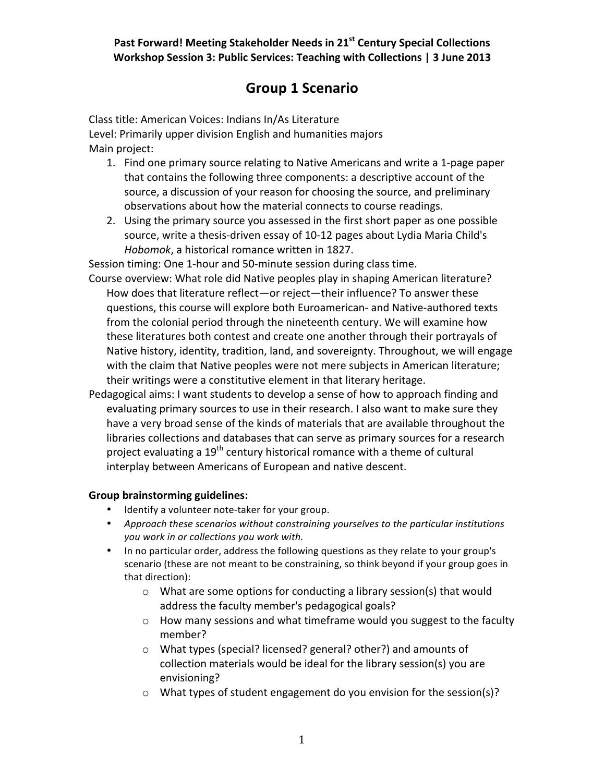## **Group 1 Scenario**

Class title: American Voices: Indians In/As Literature Level: Primarily upper division English and humanities majors Main project:

- 1. Find one primary source relating to Native Americans and write a 1-page paper that contains the following three components: a descriptive account of the source, a discussion of your reason for choosing the source, and preliminary observations about how the material connects to course readings.
- 2. Using the primary source you assessed in the first short paper as one possible source, write a thesis-driven essay of 10-12 pages about Lydia Maria Child's *Hobomok*, a historical romance written in 1827.

Session timing: One 1-hour and 50-minute session during class time.

- Course overview: What role did Native peoples play in shaping American literature? How does that literature reflect—or reject—their influence? To answer these questions, this course will explore both Euroamerican- and Native-authored texts from the colonial period through the nineteenth century. We will examine how these literatures both contest and create one another through their portrayals of Native history, identity, tradition, land, and sovereignty. Throughout, we will engage with the claim that Native peoples were not mere subjects in American literature; their writings were a constitutive element in that literary heritage.
- Pedagogical aims: I want students to develop a sense of how to approach finding and evaluating primary sources to use in their research. I also want to make sure they have a very broad sense of the kinds of materials that are available throughout the libraries collections and databases that can serve as primary sources for a research project evaluating a 19<sup>th</sup> century historical romance with a theme of cultural interplay between Americans of European and native descent.

## **Group%brainstorming%guidelines:**

- Identify a volunteer note-taker for your group.
- Approach these scenarios without constraining yourselves to the particular institutions *you,work,in,or,collections,you,work,with.*
- In no particular order, address the following questions as they relate to your group's scenario (these are not meant to be constraining, so think beyond if your group goes in that direction):
	- $\circ$  What are some options for conducting a library session(s) that would address the faculty member's pedagogical goals?
	- $\circ$  How many sessions and what timeframe would you suggest to the faculty member?
	- $\circ$  What types (special? licensed? general? other?) and amounts of collection materials would be ideal for the library session(s) you are envisioning?
	- $\circ$  What types of student engagement do you envision for the session(s)?